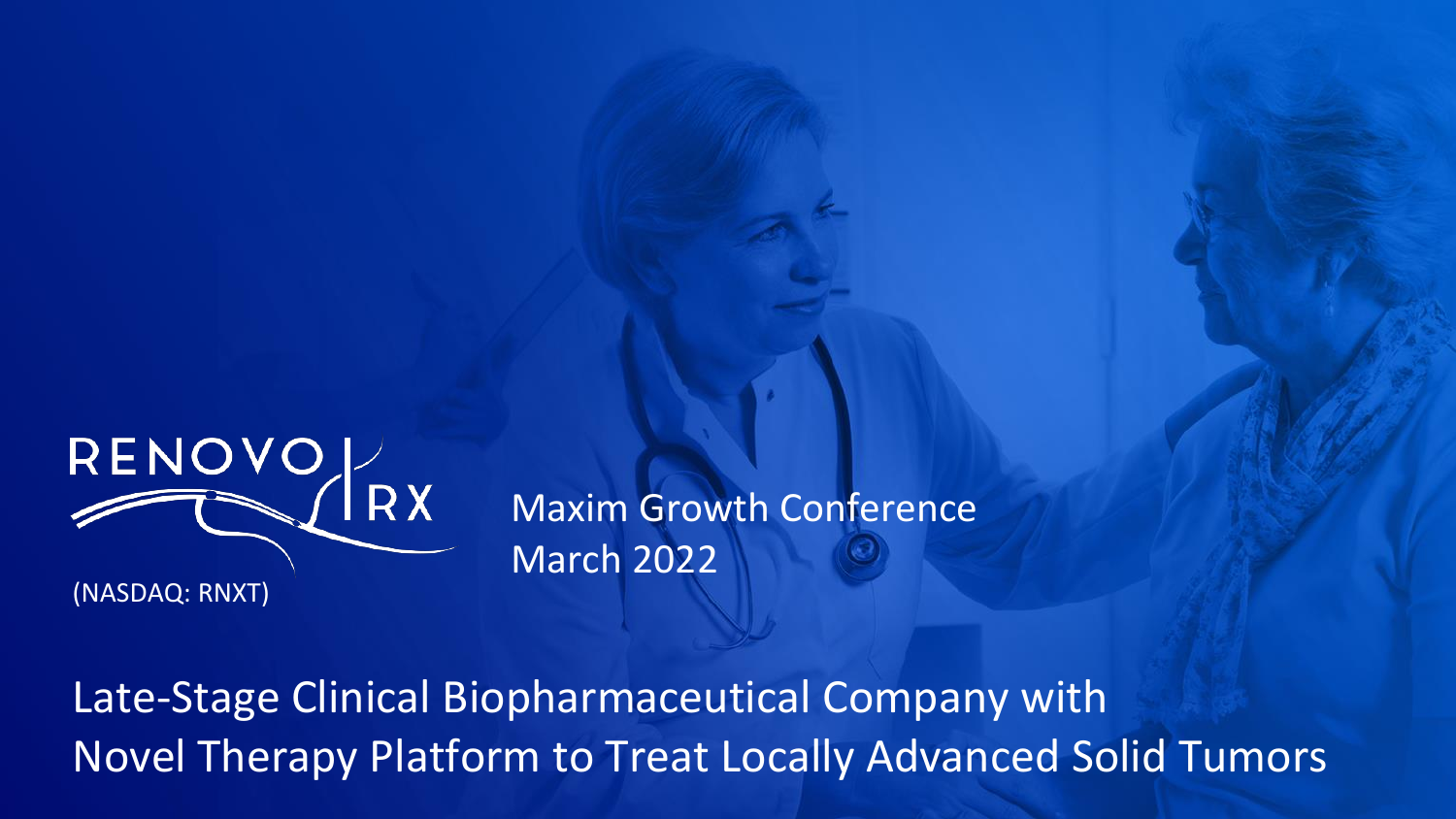

(NASDAQ: RNXT)

Maxim Growth Conference March 2022

Late-Stage Clinical Biopharmaceutical Company with Novel Therapy Platform to Treat Locally Advanced Solid Tumors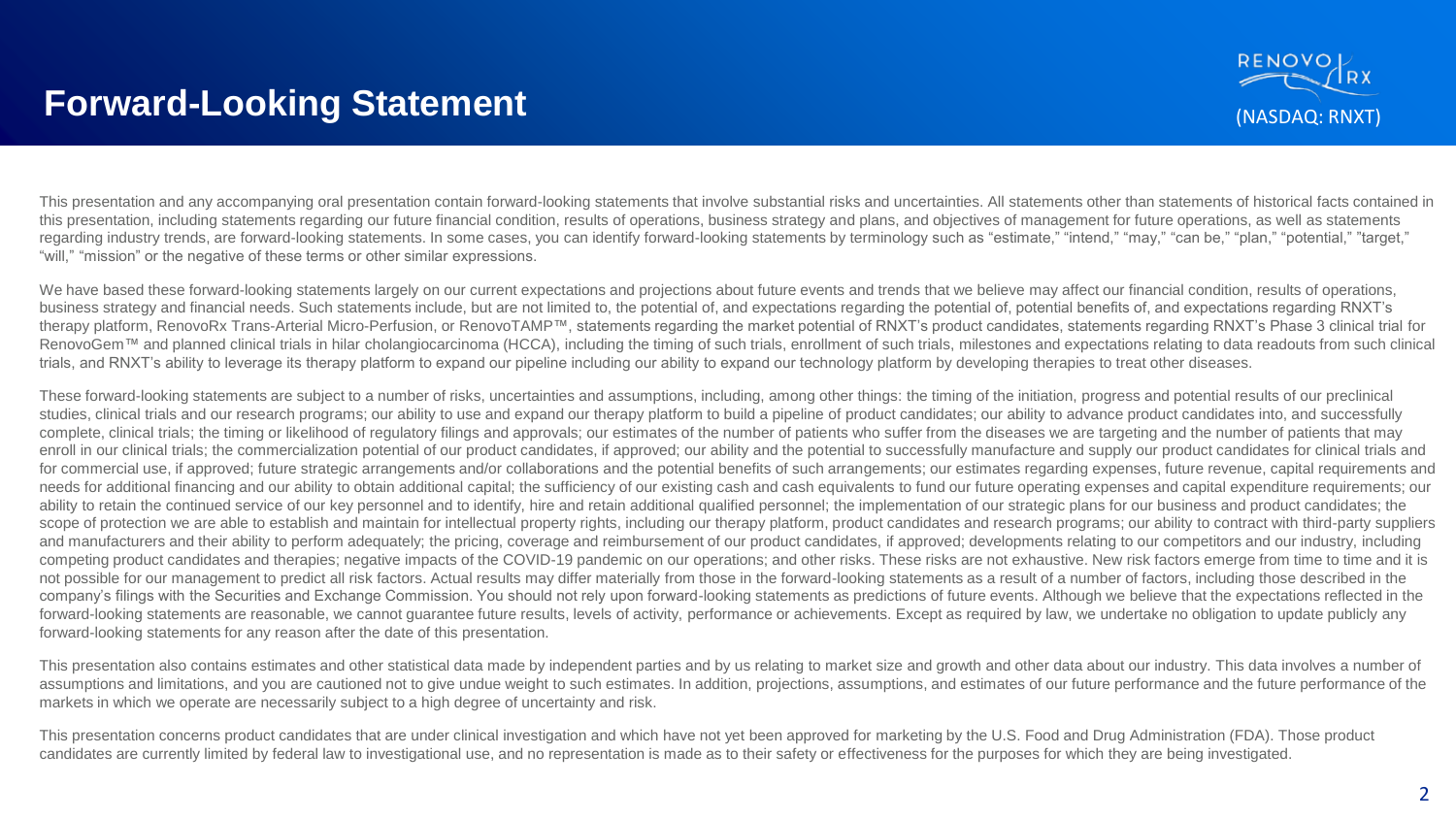# **Forward-Looking Statement Constanting Statement Constanting Constanting Constanting Constanting Constanting Constanting Constanting Constanting Constanting Constanting Constanting Constanting Constanting Constanting C**



This presentation and any accompanying oral presentation contain forward-looking statements that involve substantial risks and uncertainties. All statements other than statements of historical facts contained in this presentation, including statements regarding our future financial condition, results of operations, business strategy and plans, and objectives of management for future operations, as well as statements regarding industry trends, are forward-looking statements. In some cases, you can identify forward-looking statements by terminology such as "estimate," "intend," "may," "can be," "plan," "potential," "target," "will," "mission" or the negative of these terms or other similar expressions.

We have based these forward-looking statements largely on our current expectations and projections about future events and trends that we believe may affect our financial condition, results of operations, business strategy and financial needs. Such statements include, but are not limited to, the potential of, and expectations regarding the potential of, potential benefits of, and expectations regarding RNXT's therapy platform, RenovoRx Trans-Arterial Micro-Perfusion, or RenovoTAMP™, statements regarding the market potential of RNXT's product candidates, statements regarding RNXT's Phase 3 clinical trial for RenovoGem™ and planned clinical trials in hilar cholangiocarcinoma (HCCA), including the timing of such trials, enrollment of such trials, milestones and expectations relating to data readouts from such clinical trials, and RNXT's ability to leverage its therapy platform to expand our pipeline including our ability to expand our technology platform by developing therapies to treat other diseases.

These forward-looking statements are subject to a number of risks, uncertainties and assumptions, including, among other things: the timing of the initiation, progress and potential results of our preclinical studies, clinical trials and our research programs; our ability to use and expand our therapy platform to build a pipeline of product candidates; our ability to advance product candidates into, and successfully complete, clinical trials; the timing or likelihood of regulatory filings and approvals; our estimates of the number of patients who suffer from the diseases we are targeting and the number of patients that may enroll in our clinical trials; the commercialization potential of our product candidates, if approved; our ability and the potential to successfully manufacture and supply our product candidates for clinical trials and for commercial use, if approved; future strategic arrangements and/or collaborations and the potential benefits of such arrangements; our estimates regarding expenses, future revenue, capital requirements and needs for additional financing and our ability to obtain additional capital; the sufficiency of our existing cash and cash equivalents to fund our future operating expenses and capital expenditure requirements; our ability to retain the continued service of our key personnel and to identify, hire and retain additional qualified personnel; the implementation of our strategic plans for our business and product candidates; the scope of protection we are able to establish and maintain for intellectual property rights, including our therapy platform, product candidates and research programs; our ability to contract with third-party suppliers and manufacturers and their ability to perform adequately; the pricing, coverage and reimbursement of our product candidates, if approved; developments relating to our competitors and our industry, including competing product candidates and therapies; negative impacts of the COVID-19 pandemic on our operations; and other risks. These risks are not exhaustive. New risk factors emerge from time to time and it is not possible for our management to predict all risk factors. Actual results may differ materially from those in the forward-looking statements as a result of a number of factors, including those described in the company's filings with the Securities and Exchange Commission. You should not rely upon forward-looking statements as predictions of future events. Although we believe that the expectations reflected in the forward-looking statements are reasonable, we cannot quarantee future results, levels of activity, performance or achievements. Except as required by law, we undertake no obligation to update publicly any forward-looking statements for any reason after the date of this presentation.

This presentation also contains estimates and other statistical data made by independent parties and by us relating to market size and growth and other data about our industry. This data involves a number of assumptions and limitations, and you are cautioned not to give undue weight to such estimates. In addition, projections, assumptions, and estimates of our future performance and the future performance of the markets in which we operate are necessarily subject to a high degree of uncertainty and risk.

This presentation concerns product candidates that are under clinical investigation and which have not yet been approved for marketing by the U.S. Food and Drug Administration (FDA). Those product candidates are currently limited by federal law to investigational use, and no representation is made as to their safety or effectiveness for the purposes for which they are being investigated.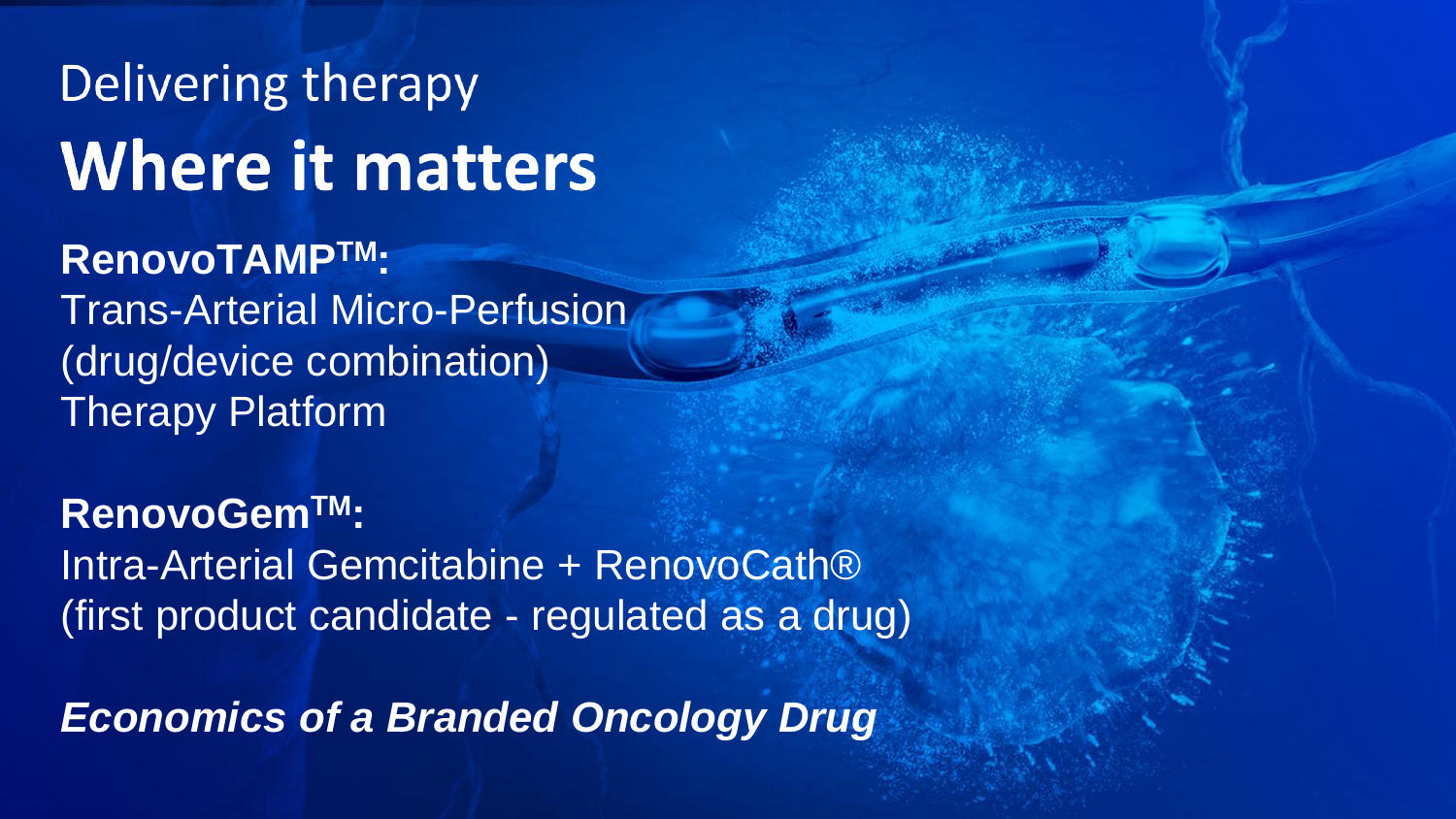Delivering therapy **Where it matters** 

**RenovoTAMPTM:** Trans-Arterial Micro-Perfusion (drug/device combination) Therapy Platform

**RenovoGemTM:** Intra-Arterial Gemcitabine + RenovoCath® (first product candidate - regulated as a drug)

*Economics of a Branded Oncology Drug*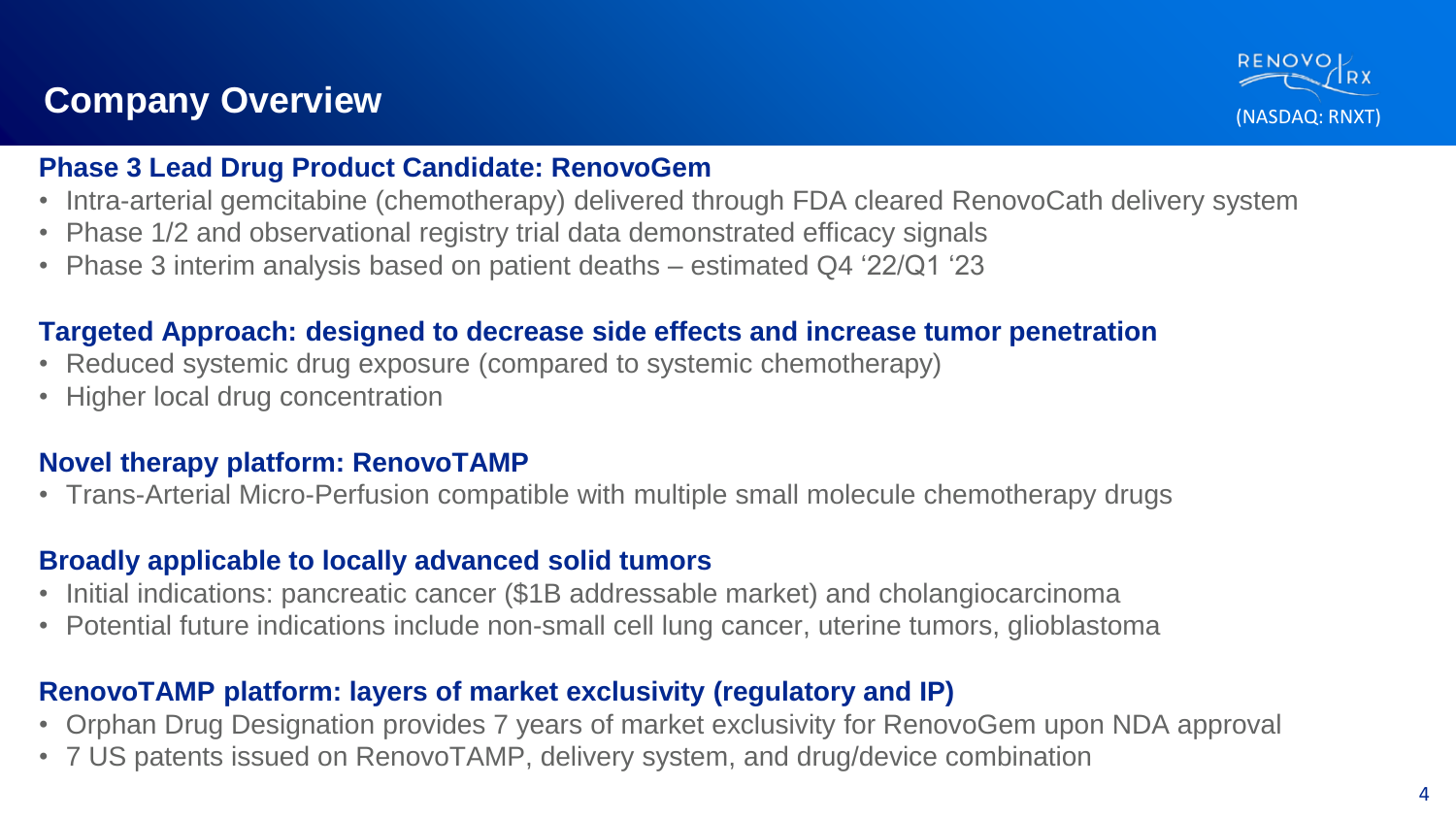# **Company Overview (NASDAQ: RNXT)**



#### **Phase 3 Lead Drug Product Candidate: RenovoGem**

- Intra-arterial gemcitabine (chemotherapy) delivered through FDA cleared RenovoCath delivery system
- Phase 1/2 and observational registry trial data demonstrated efficacy signals
- Phase 3 interim analysis based on patient deaths estimated Q4 '22/Q1 '23

### **Targeted Approach: designed to decrease side effects and increase tumor penetration**

- Reduced systemic drug exposure (compared to systemic chemotherapy)
- Higher local drug concentration

#### **Novel therapy platform: RenovoTAMP**

• Trans-Arterial Micro-Perfusion compatible with multiple small molecule chemotherapy drugs

### **Broadly applicable to locally advanced solid tumors**

- Initial indications: pancreatic cancer (\$1B addressable market) and cholangiocarcinoma
- Potential future indications include non-small cell lung cancer, uterine tumors, glioblastoma

### **RenovoTAMP platform: layers of market exclusivity (regulatory and IP)**

- Orphan Drug Designation provides 7 years of market exclusivity for RenovoGem upon NDA approval
- 7 US patents issued on RenovoTAMP, delivery system, and drug/device combination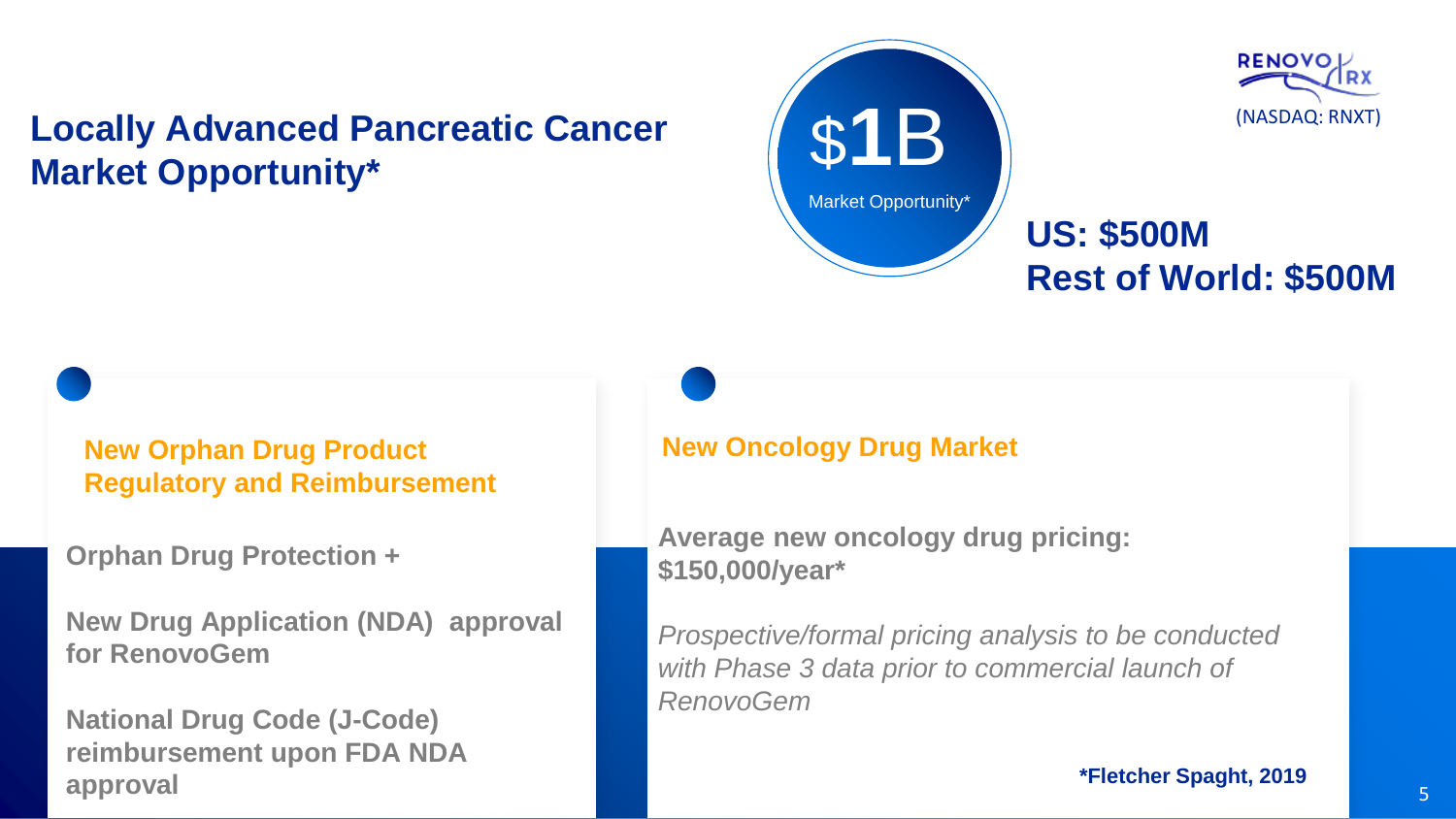# **Locally Advanced Pancreatic Cancer Market Opportunity\***





# **US: \$500M Rest of World: \$500M**

#### **New Orphan Drug Product Regulatory and Reimbursement**

**Orphan Drug Protection +** 

**New Drug Application (NDA) approval for RenovoGem**

**National Drug Code (J-Code) reimbursement upon FDA NDA approval**

### **New Oncology Drug Market**

**Average new oncology drug pricing: \$150,000/year\***

*Prospective/formal pricing analysis to be conducted with Phase 3 data prior to commercial launch of RenovoGem*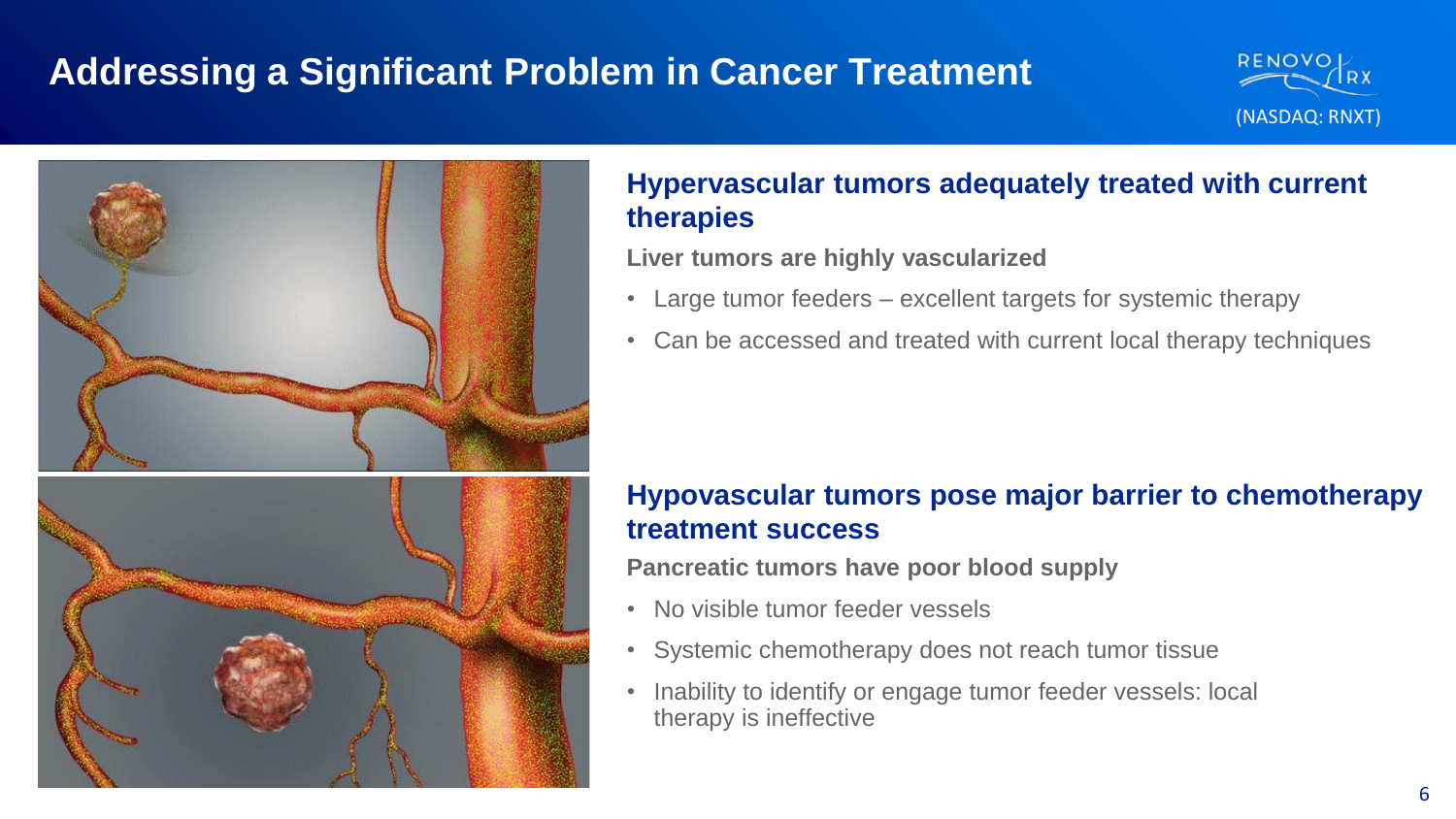# **Addressing a Significant Problem in Cancer Treatment**





### **Hypervascular tumors adequately treated with current therapies**

**Liver tumors are highly vascularized**

- Large tumor feeders excellent targets for systemic therapy
- Can be accessed and treated with current local therapy techniques



### **Hypovascular tumors pose major barrier to chemotherapy treatment success**

**Pancreatic tumors have poor blood supply**

- No visible tumor feeder vessels
- Systemic chemotherapy does not reach tumor tissue
- Inability to identify or engage tumor feeder vessels: local therapy is ineffective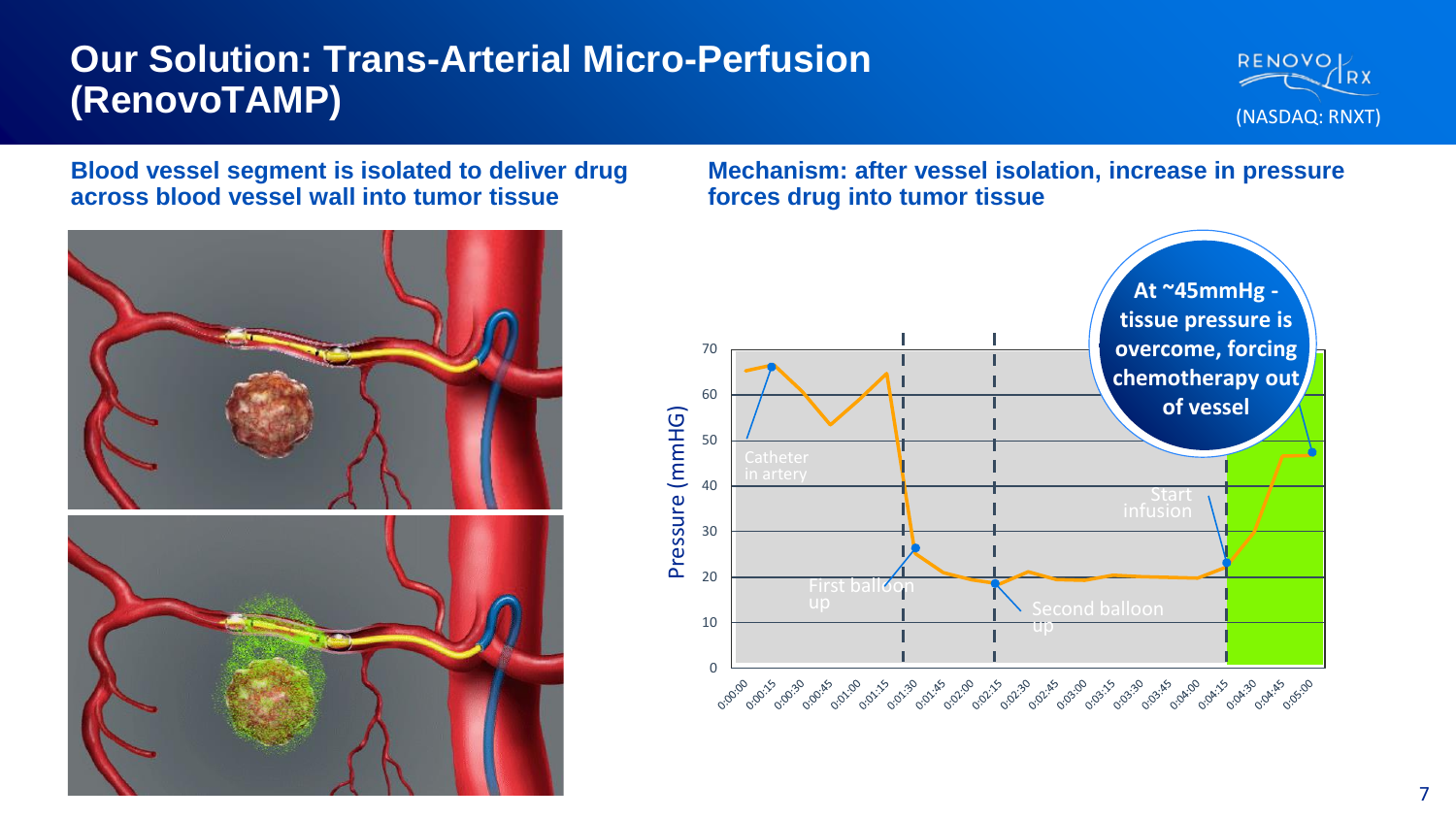# **Our Solution: Trans-Arterial Micro-Perfusion (RenovoTAMP)**



**Blood vessel segment is isolated to deliver drug across blood vessel wall into tumor tissue**





**Mechanism: after vessel isolation, increase in pressure forces drug into tumor tissue**

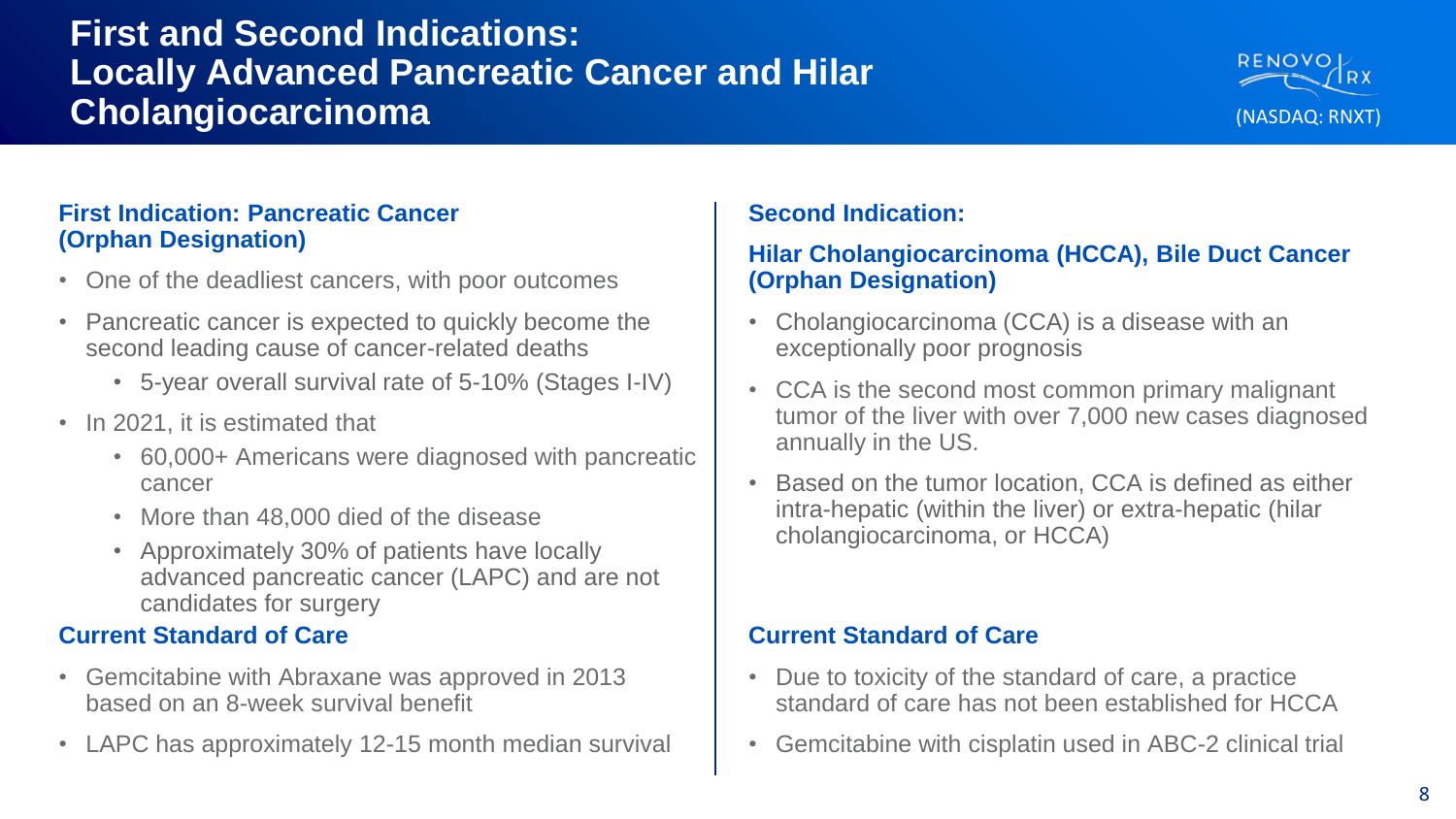# **First and Second Indications: Locally Advanced Pancreatic Cancer and Hilar Cholangiocarcinoma**



#### **First Indication: Pancreatic Cancer (Orphan Designation)**

- One of the deadliest cancers, with poor outcomes
- Pancreatic cancer is expected to quickly become the second leading cause of cancer-related deaths
	- 5-year overall survival rate of 5-10% (Stages I-IV)
- In 2021, it is estimated that
	- 60,000+ Americans were diagnosed with pancreatic cancer
	- More than 48,000 died of the disease
	- Approximately 30% of patients have locally advanced pancreatic cancer (LAPC) and are not candidates for surgery

#### **Current Standard of Care**

- Gemcitabine with Abraxane was approved in 2013 based on an 8-week survival benefit
- LAPC has approximately 12-15 month median survival

#### **Second Indication:**

#### **Hilar Cholangiocarcinoma (HCCA), Bile Duct Cancer (Orphan Designation)**

- Cholangiocarcinoma (CCA) is a disease with an exceptionally poor prognosis
- CCA is the second most common primary malignant tumor of the liver with over 7,000 new cases diagnosed annually in the US.
- Based on the tumor location, CCA is defined as either intra-hepatic (within the liver) or extra-hepatic (hilar cholangiocarcinoma, or HCCA)

#### **Current Standard of Care**

- Due to toxicity of the standard of care, a practice standard of care has not been established for HCCA
- Gemcitabine with cisplatin used in ABC-2 clinical trial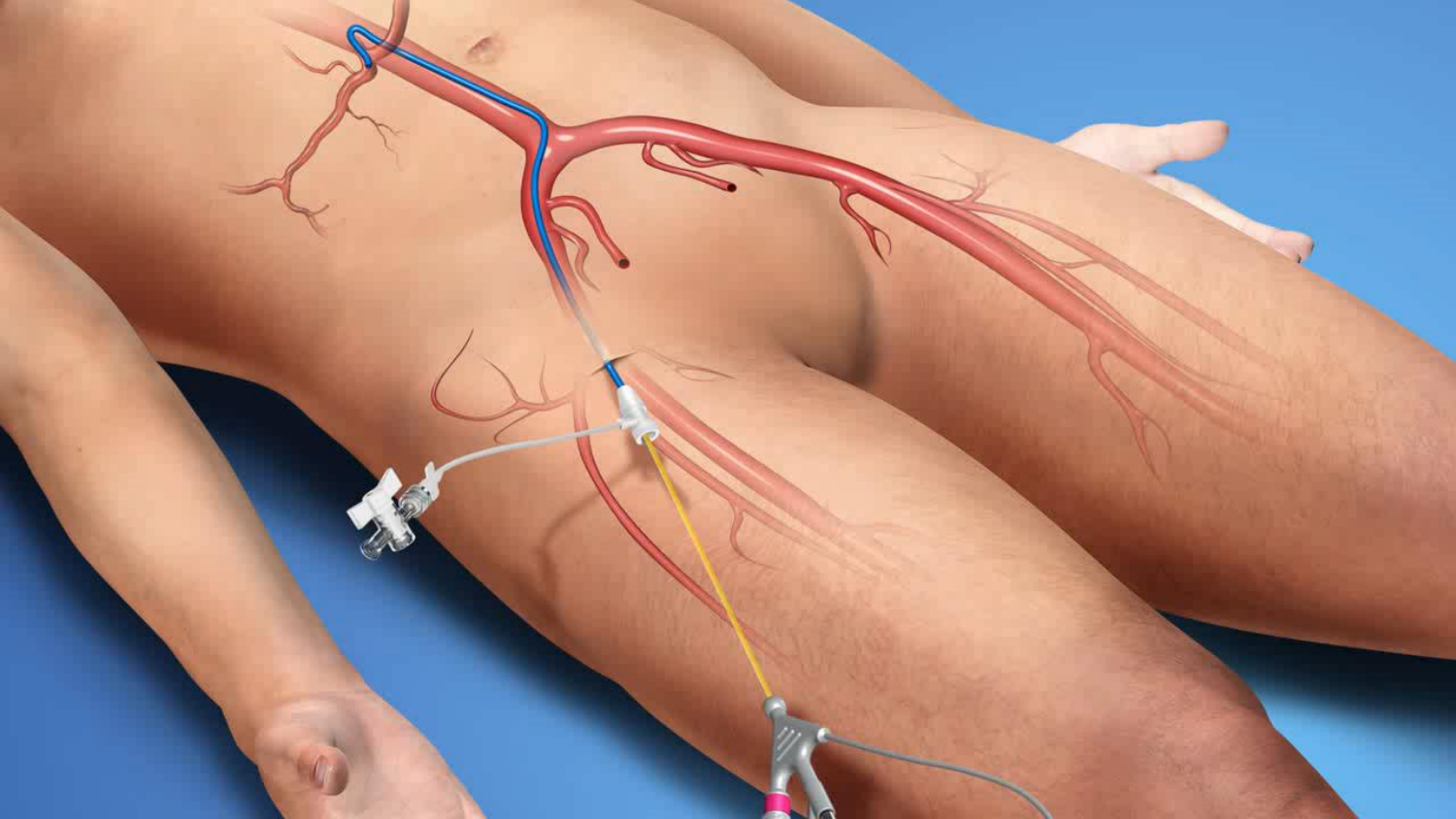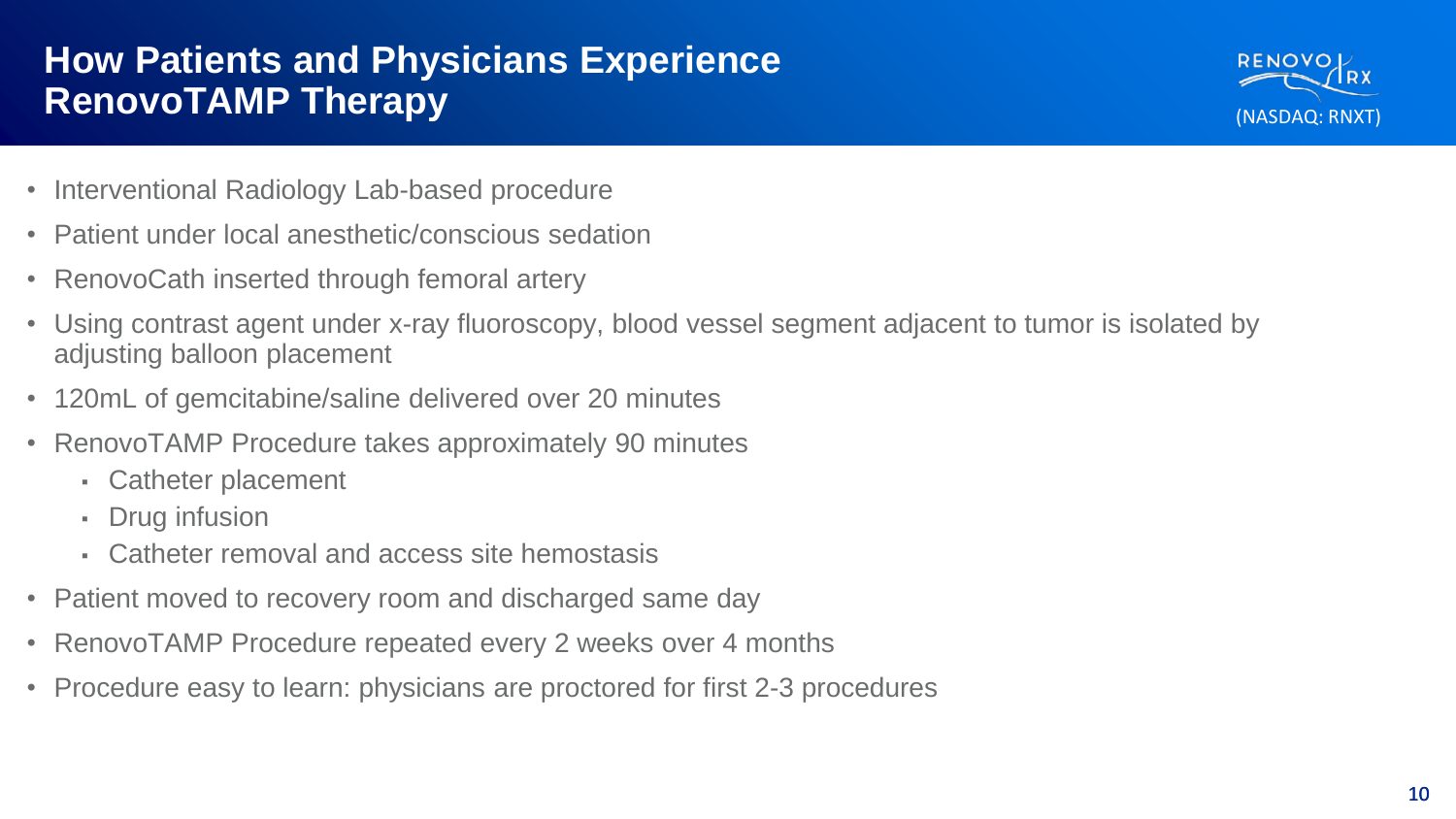# **How Patients and Physicians Experience RenovoTAMP Therapy**



- Interventional Radiology Lab-based procedure
- Patient under local anesthetic/conscious sedation
- RenovoCath inserted through femoral artery
- Using contrast agent under x-ray fluoroscopy, blood vessel segment adjacent to tumor is isolated by adjusting balloon placement
- 120mL of gemcitabine/saline delivered over 20 minutes
- RenovoTAMP Procedure takes approximately 90 minutes
	- Catheter placement
	- Drug infusion
	- Catheter removal and access site hemostasis
- Patient moved to recovery room and discharged same day
- RenovoTAMP Procedure repeated every 2 weeks over 4 months
- Procedure easy to learn: physicians are proctored for first 2-3 procedures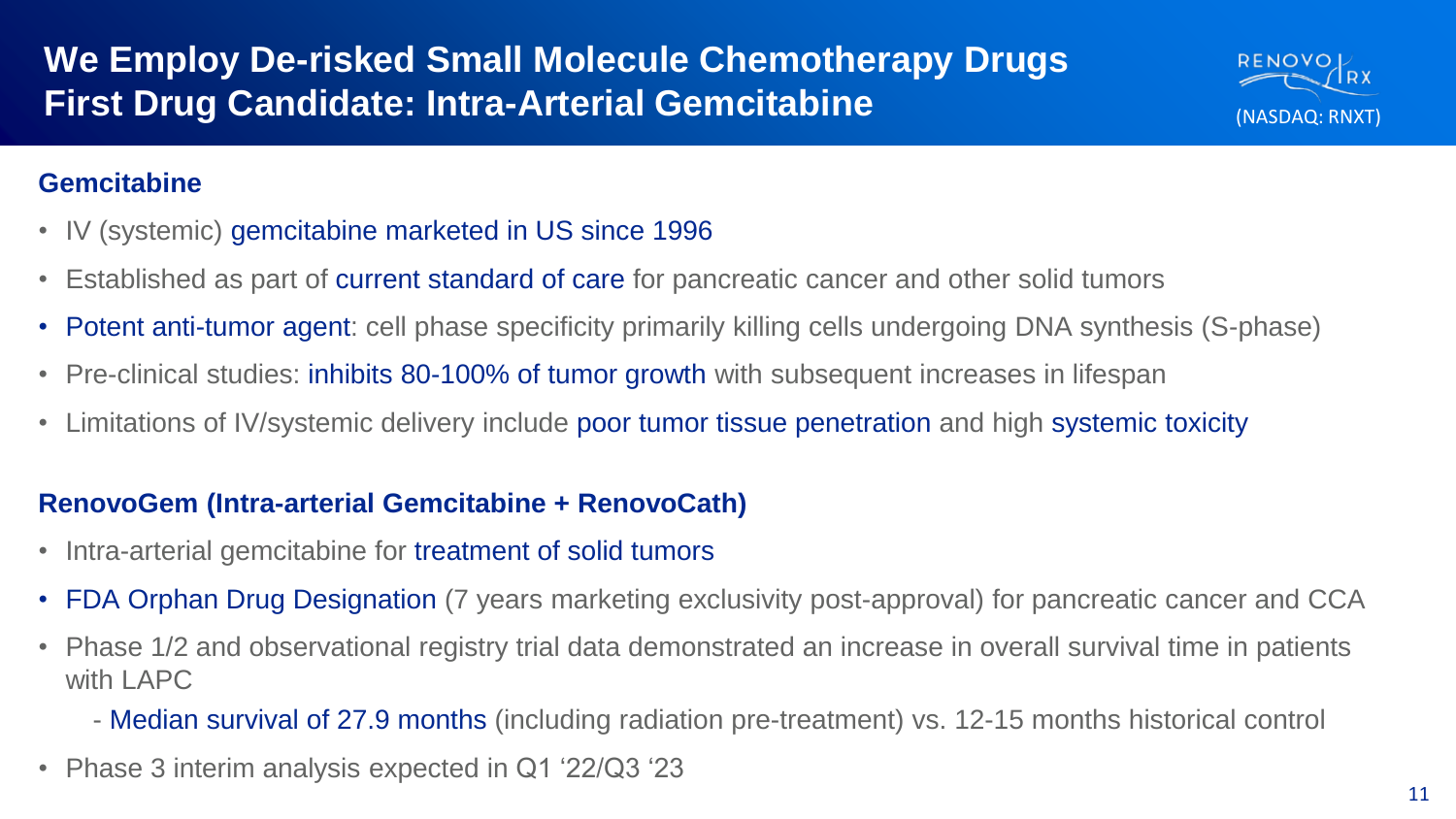# **We Employ De-risked Small Molecule Chemotherapy Drugs First Drug Candidate: Intra-Arterial Gemcitabine**



#### **Gemcitabine**

- IV (systemic) gemcitabine marketed in US since 1996
- Established as part of current standard of care for pancreatic cancer and other solid tumors
- Potent anti-tumor agent: cell phase specificity primarily killing cells undergoing DNA synthesis (S-phase)
- Pre-clinical studies: inhibits 80-100% of tumor growth with subsequent increases in lifespan
- Limitations of IV/systemic delivery include poor tumor tissue penetration and high systemic toxicity

### **RenovoGem (Intra-arterial Gemcitabine + RenovoCath)**

- Intra-arterial gemcitabine for treatment of solid tumors
- FDA Orphan Drug Designation (7 years marketing exclusivity post-approval) for pancreatic cancer and CCA
- Phase 1/2 and observational registry trial data demonstrated an increase in overall survival time in patients with LAPC
	- Median survival of 27.9 months (including radiation pre-treatment) vs. 12-15 months historical control
- Phase 3 interim analysis expected in Q1 '22/Q3 '23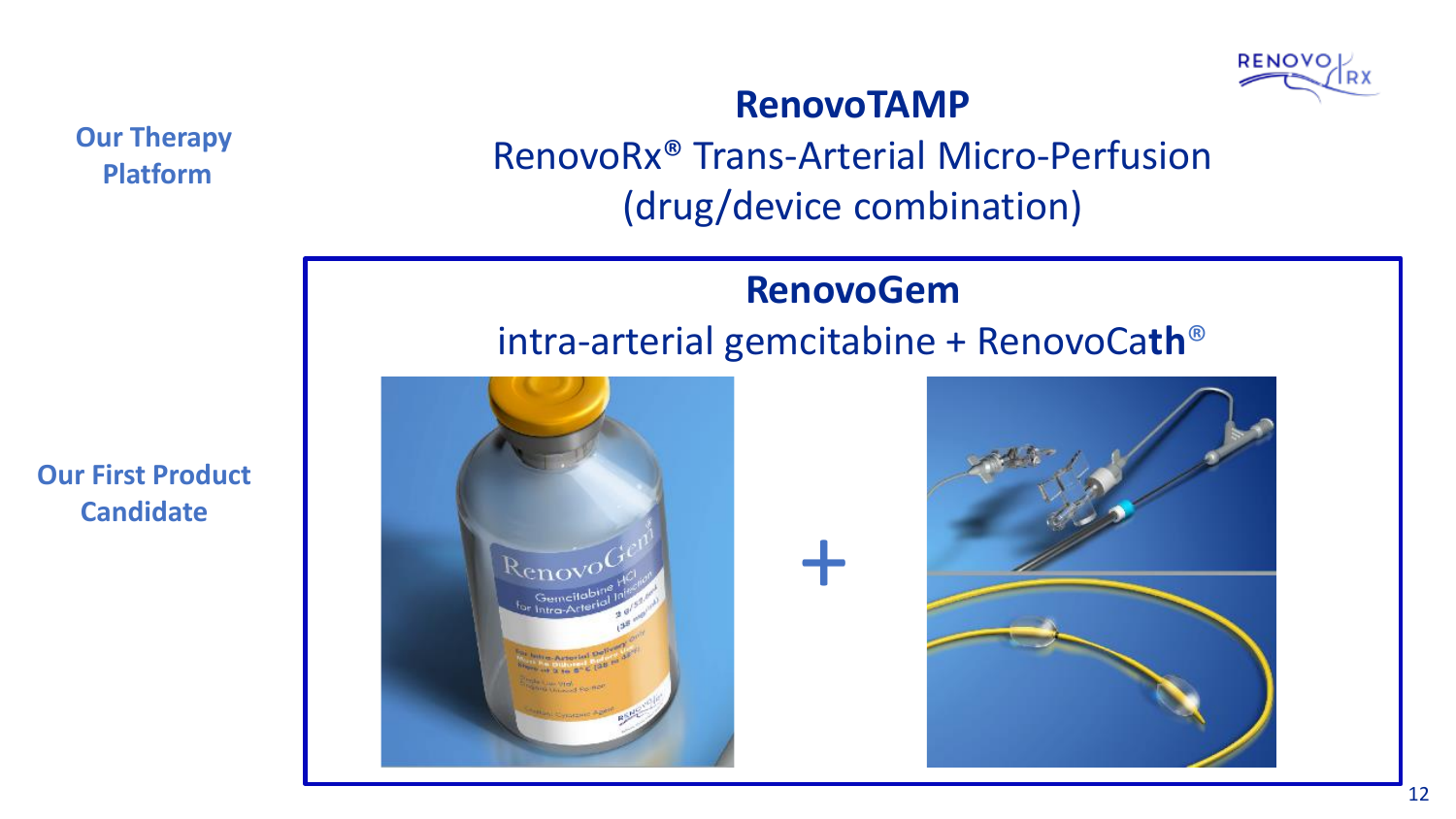

### **RenovoTAMP**

**Our Therapy Platform**

RenovoRx® Trans-Arterial Micro-Perfusion (drug/device combination)

# **RenovoGem**

# intra-arterial gemcitabine + RenovoCa**th**®

+





**Our First Product Candidate**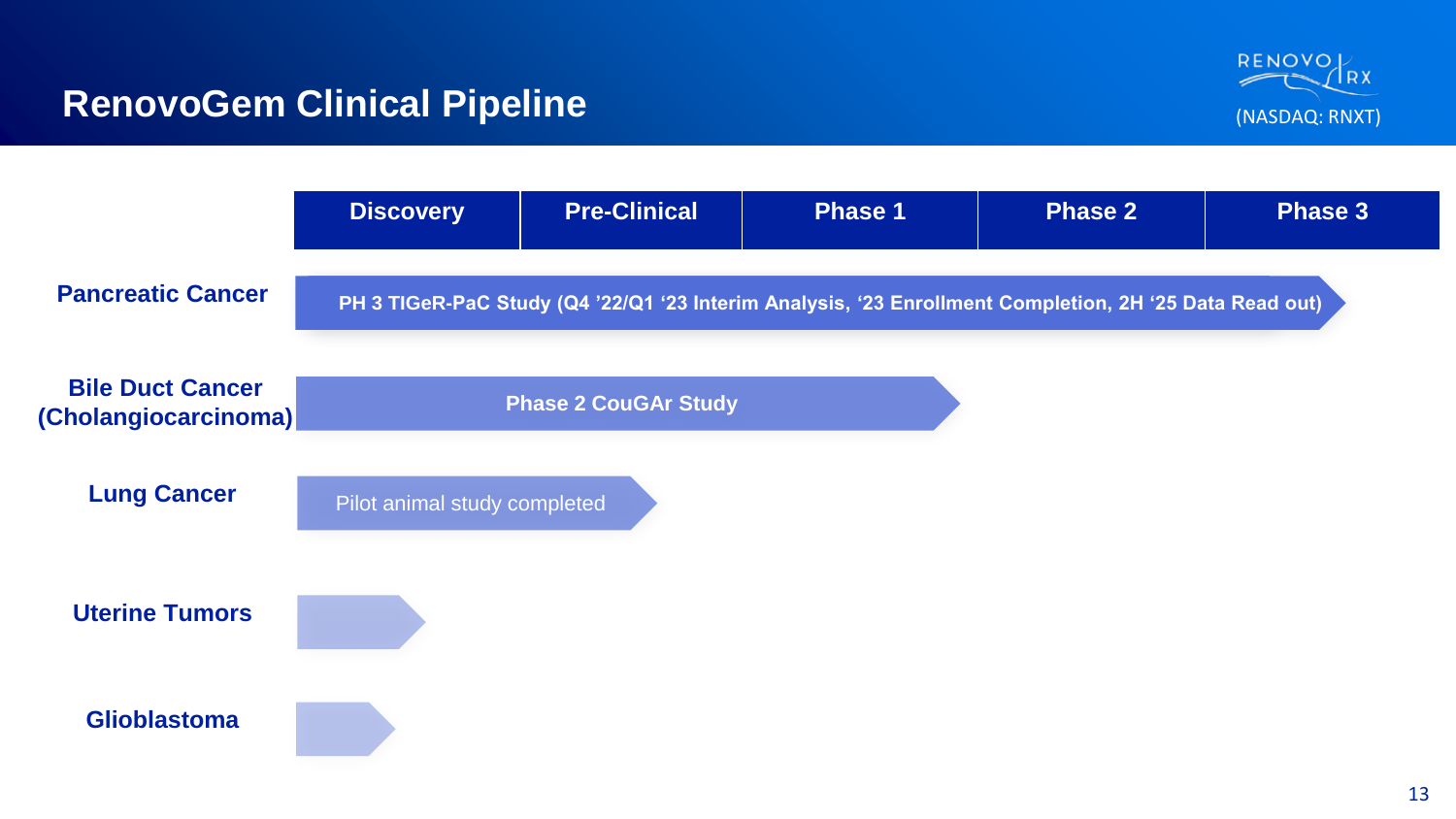

### **RenovoGem Clinical Pipeline**

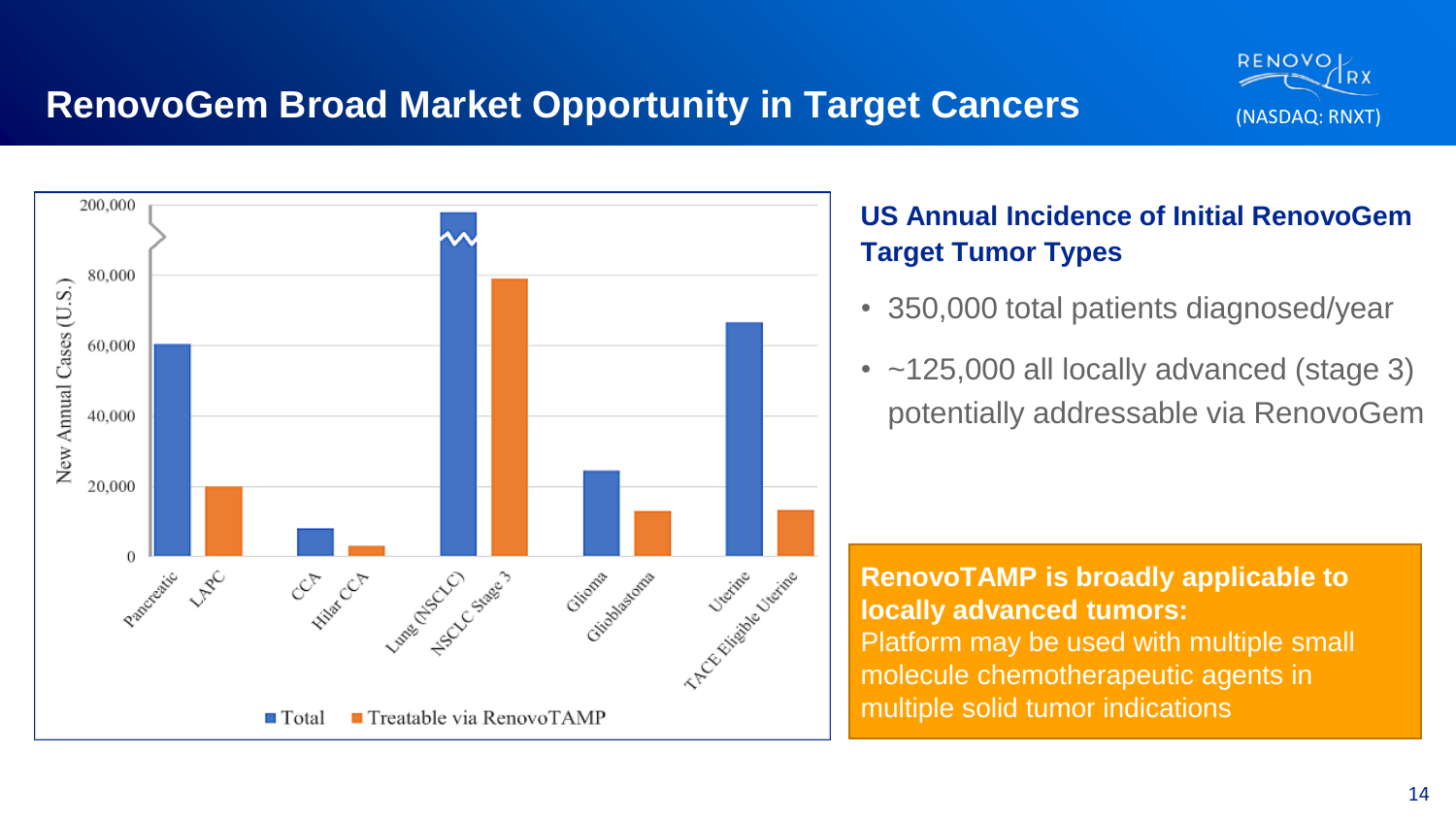

# **RenovoGem Broad Market Opportunity in Target Cancers**



### **US Annual Incidence of Initial RenovoGem Target Tumor Types**

- 350,000 total patients diagnosed/year
- ~125,000 all locally advanced (stage 3) potentially addressable via RenovoGem

**RenovoTAMP is broadly applicable to locally advanced tumors:** Platform may be used with multiple small molecule chemotherapeutic agents in multiple solid tumor indications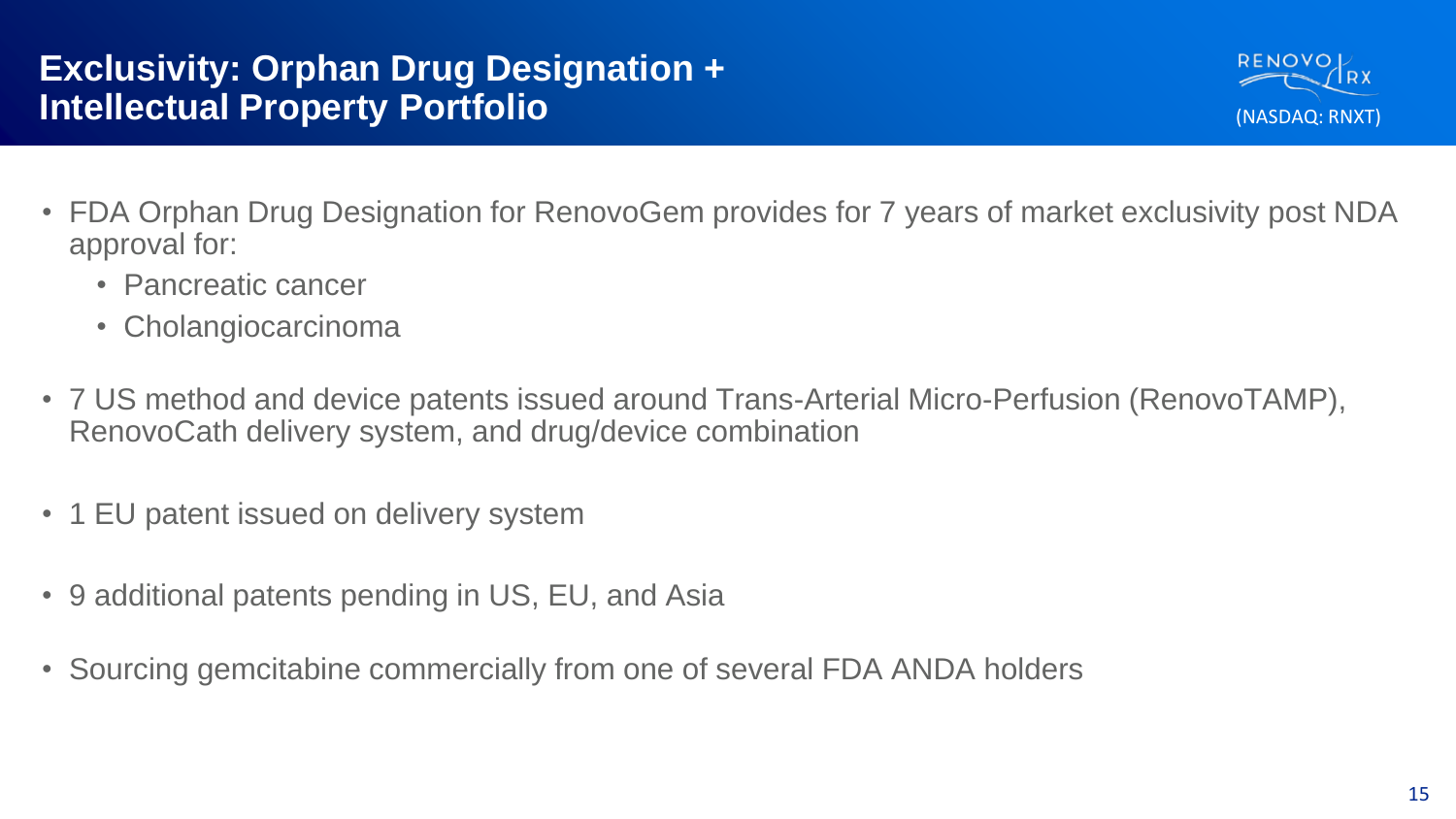# **Exclusivity: Orphan Drug Designation + Intellectual Property Portfolio**



- FDA Orphan Drug Designation for RenovoGem provides for 7 years of market exclusivity post NDA approval for:
	- Pancreatic cancer
	- Cholangiocarcinoma
- 7 US method and device patents issued around Trans-Arterial Micro-Perfusion (RenovoTAMP), RenovoCath delivery system, and drug/device combination
- 1 EU patent issued on delivery system
- 9 additional patents pending in US, EU, and Asia
- Sourcing gemcitabine commercially from one of several FDA ANDA holders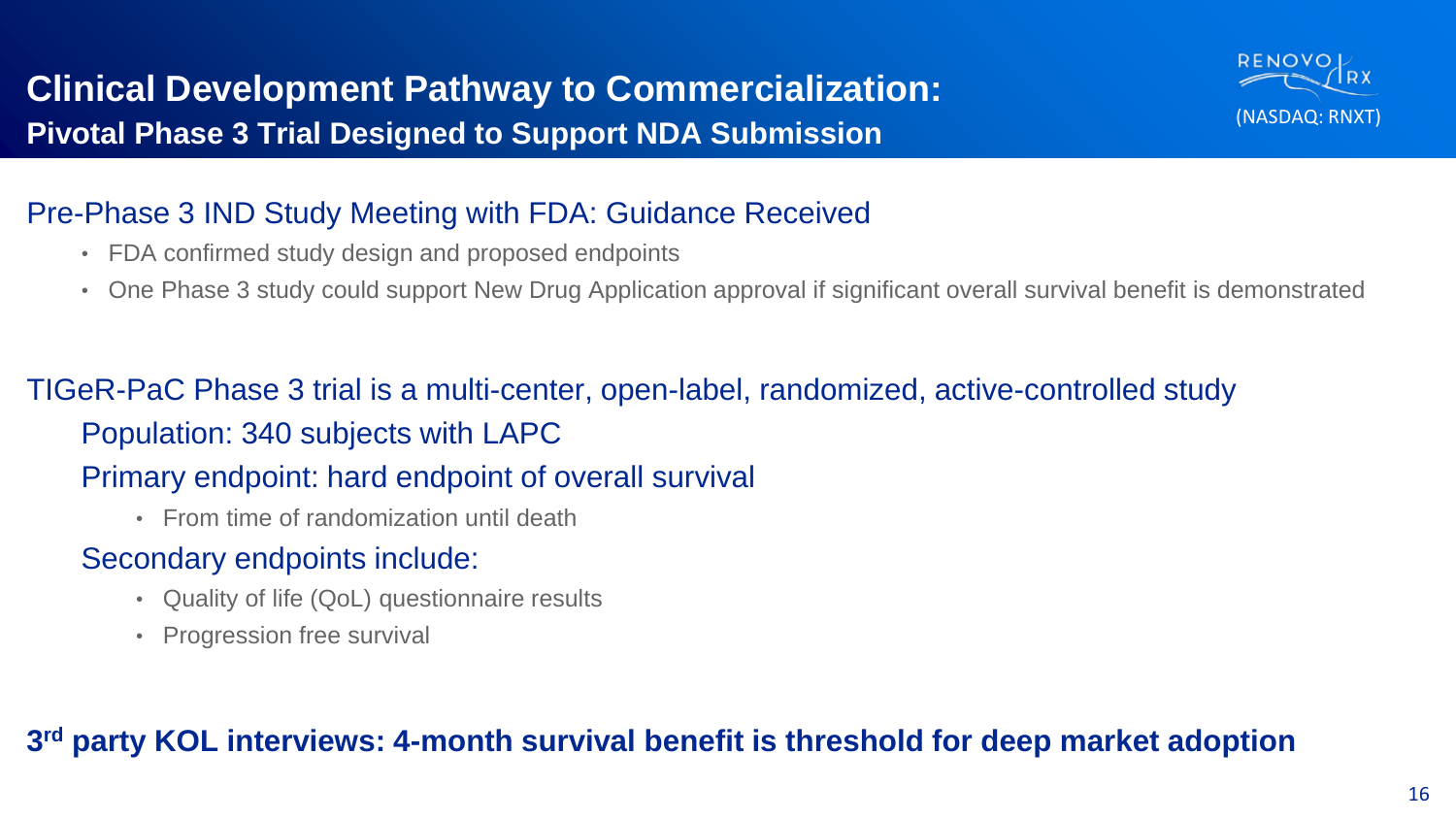

### Pre-Phase 3 IND Study Meeting with FDA: Guidance Received

- FDA confirmed study design and proposed endpoints
- One Phase 3 study could support New Drug Application approval if significant overall survival benefit is demonstrated

# TIGeR-PaC Phase 3 trial is a multi-center, open-label, randomized, active-controlled study Population: 340 subjects with LAPC

Primary endpoint: hard endpoint of overall survival

• From time of randomization until death

### Secondary endpoints include:

- Quality of life (QoL) questionnaire results
- Progression free survival

### **3 rd party KOL interviews: 4-month survival benefit is threshold for deep market adoption**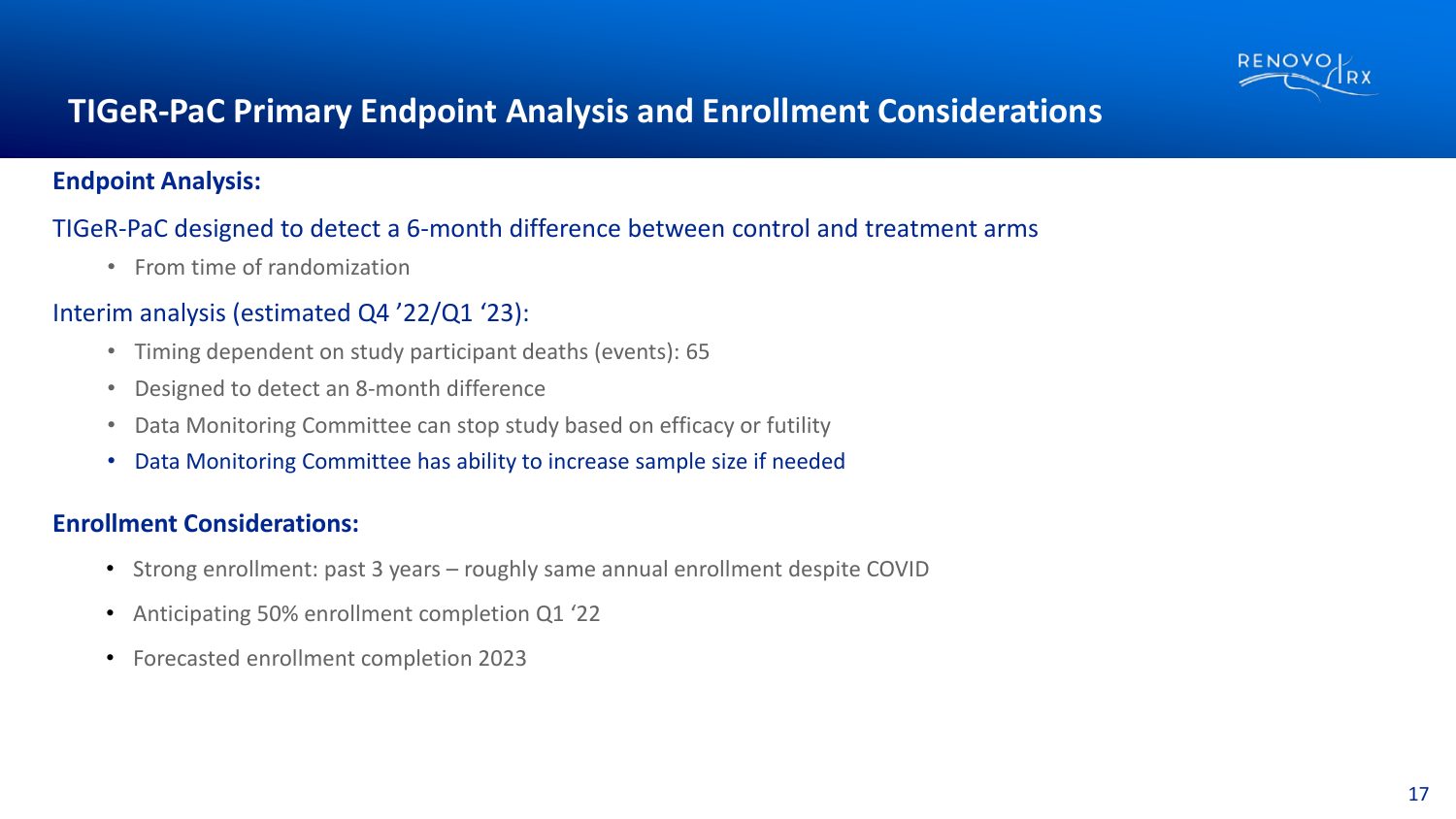

### **TIGeR-PaC Primary Endpoint Analysis and Enrollment Considerations**

#### **Endpoint Analysis:**

#### TIGeR-PaC designed to detect a 6-month difference between control and treatment arms

• From time of randomization

#### Interim analysis (estimated Q4 '22/Q1 '23):

- Timing dependent on study participant deaths (events): 65
- Designed to detect an 8-month difference
- Data Monitoring Committee can stop study based on efficacy or futility
- Data Monitoring Committee has ability to increase sample size if needed

#### **Enrollment Considerations:**

- Strong enrollment: past 3 years roughly same annual enrollment despite COVID
- Anticipating 50% enrollment completion Q1 '22
- Forecasted enrollment completion 2023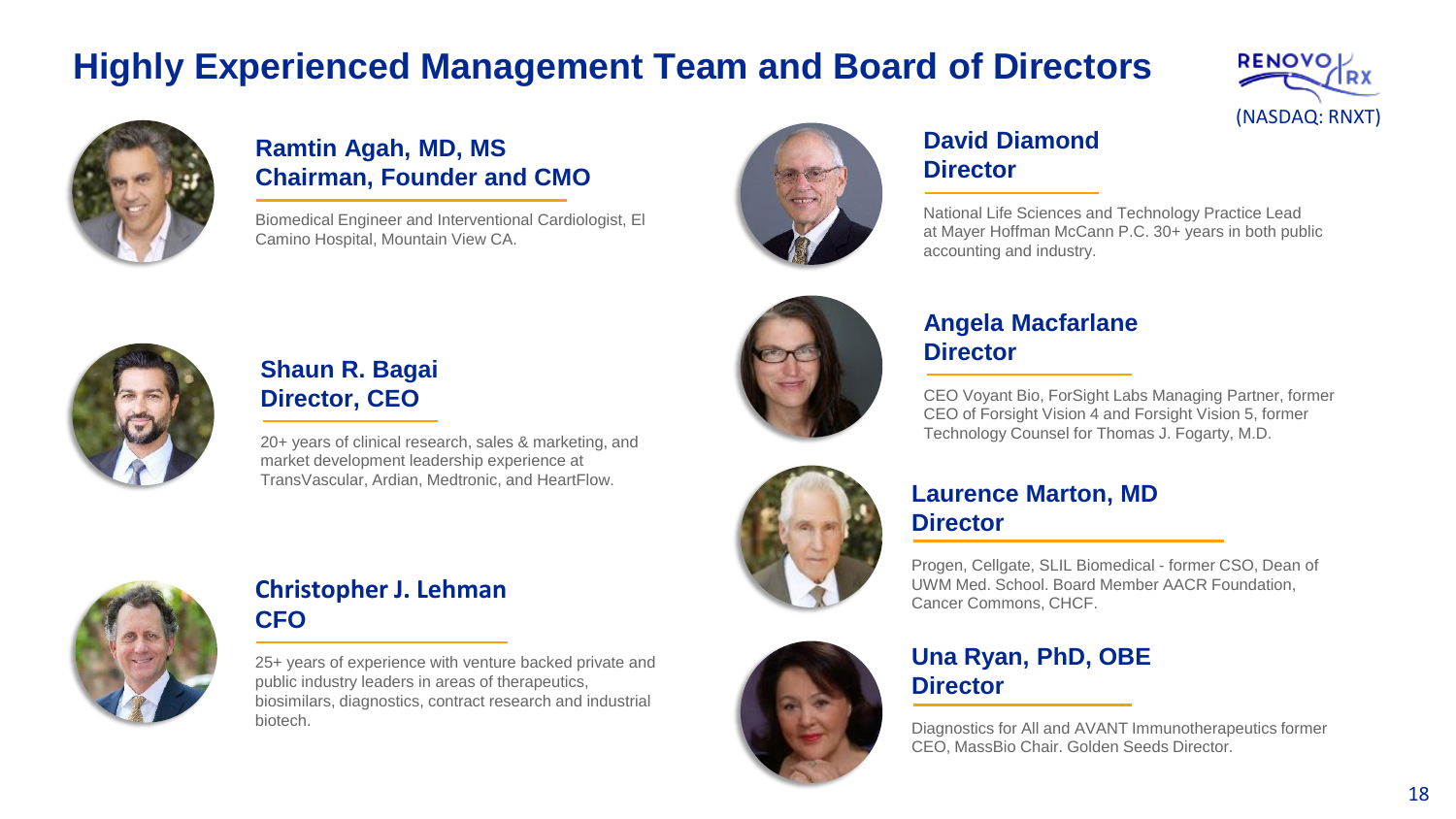# **Highly Experienced Management Team and Board of Directors**



#### **Ramtin Agah, MD, MS Chairman, Founder and CMO**

Biomedical Engineer and Interventional Cardiologist, El Camino Hospital, Mountain View CA.



#### **David Diamond Director**

National Life Sciences and Technology Practice Lead at Mayer Hoffman McCann P.C. 30+ years in both public accounting and industry.

(NASDAQ: RNXT)

**RENOVO I** 



#### **Shaun R. Bagai Director, CEO**

20+ years of clinical research, sales & marketing, and market development leadership experience at TransVascular, Ardian, Medtronic, and HeartFlow.



#### **Angela Macfarlane Director**

CEO Voyant Bio, ForSight Labs Managing Partner, former CEO of Forsight Vision 4 and Forsight Vision 5, former Technology Counsel for Thomas J. Fogarty, M.D.



#### **Laurence Marton, MD Director**

Progen, Cellgate, SLIL Biomedical - former CSO, Dean of UWM Med. School. Board Member AACR Foundation, Cancer Commons, CHCF.

#### **Una Ryan, PhD, OBE Director**

Diagnostics for All and AVANT Immunotherapeutics former CEO, MassBio Chair. Golden Seeds Director.



#### **Christopher J. Lehman CFO**

25+ years of experience with venture backed private and public industry leaders in areas of therapeutics, biosimilars, diagnostics, contract research and industrial biotech.

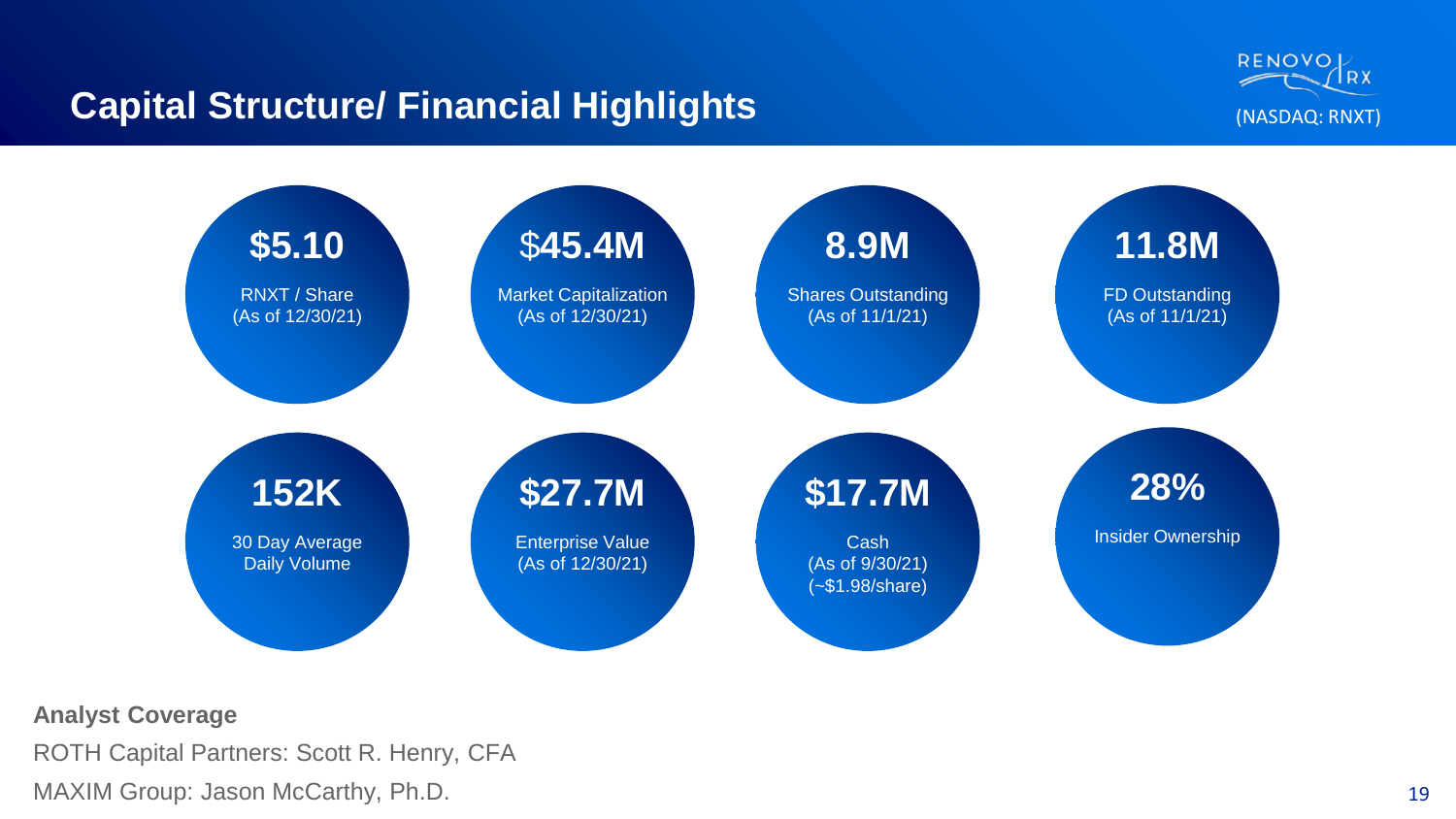# **Capital Structure/ Financial Highlights**





#### **Analyst Coverage**

ROTH Capital Partners: Scott R. Henry, CFA MAXIM Group: Jason McCarthy, Ph.D.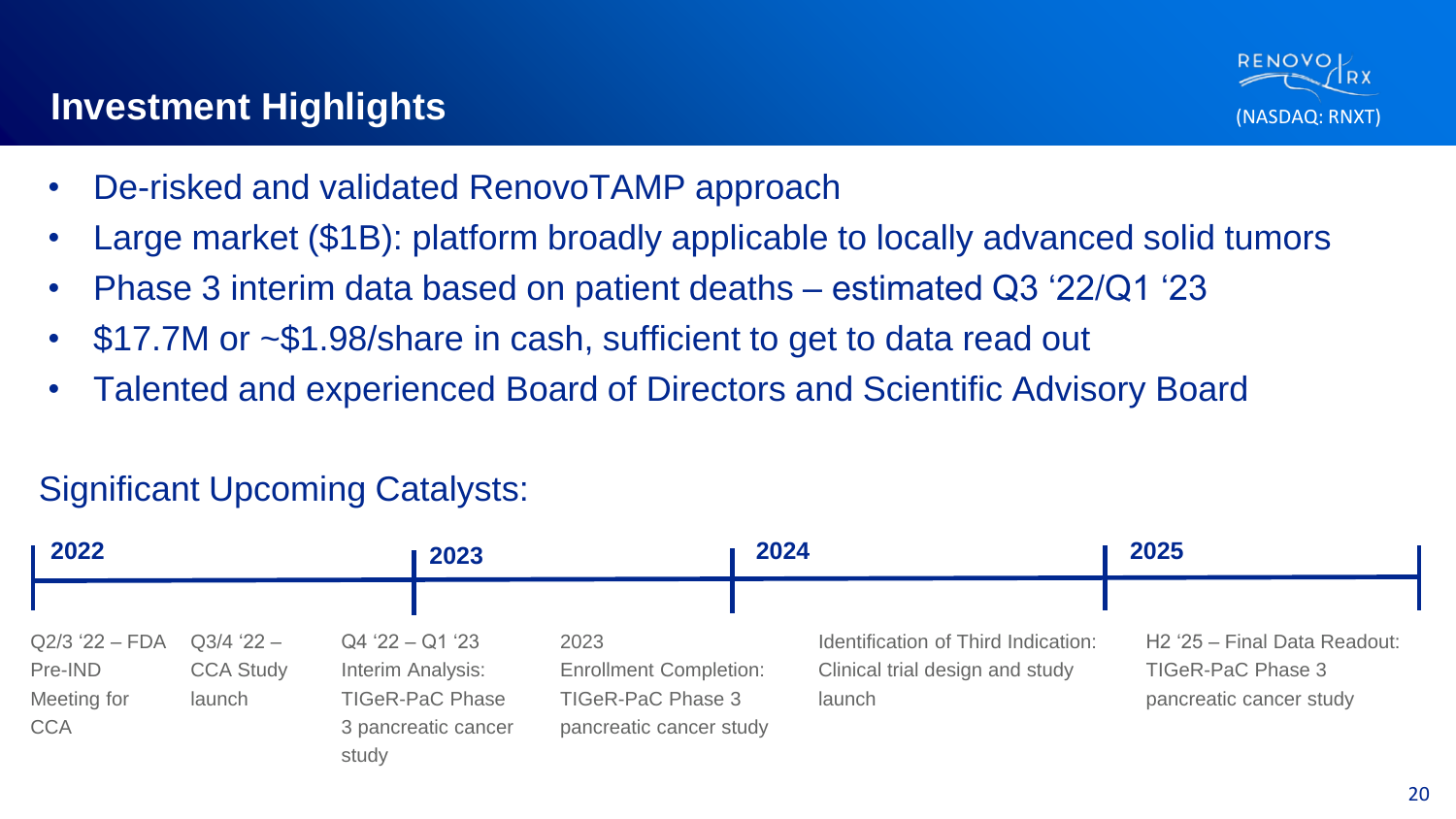

### **Investment Highlights**

- De-risked and validated RenovoTAMP approach
- Large market (\$1B): platform broadly applicable to locally advanced solid tumors
- Phase 3 interim data based on patient deaths estimated Q3 '22/Q1 '23
- \$17.7M or ~\$1.98/share in cash, sufficient to get to data read out
- Talented and experienced Board of Directors and Scientific Advisory Board

# Significant Upcoming Catalysts:

| 2023                                                                                                                                                                                                               |                                                                                                                                                                                                      |                                                                     |
|--------------------------------------------------------------------------------------------------------------------------------------------------------------------------------------------------------------------|------------------------------------------------------------------------------------------------------------------------------------------------------------------------------------------------------|---------------------------------------------------------------------|
| $Q2/3$ '22 – FDA<br>$Q3/4$ '22 $-$<br>$Q4'22 - Q1'23$<br>2023<br>Pre-IND<br><b>CCA Study</b><br>Interim Analysis:<br><b>TIGeR-PaC Phase</b><br>Meeting for<br>launch<br><b>CCA</b><br>3 pancreatic cancer<br>study | Identification of Third Indication:<br><b>Enrollment Completion:</b><br>Clinical trial design and study<br><b>TIGeR-PaC Phase 3</b><br><b>TIGeR-PaC Phase 3</b><br>launch<br>pancreatic cancer study | H <sub>2</sub> '25 - Final Data Readout:<br>pancreatic cancer study |